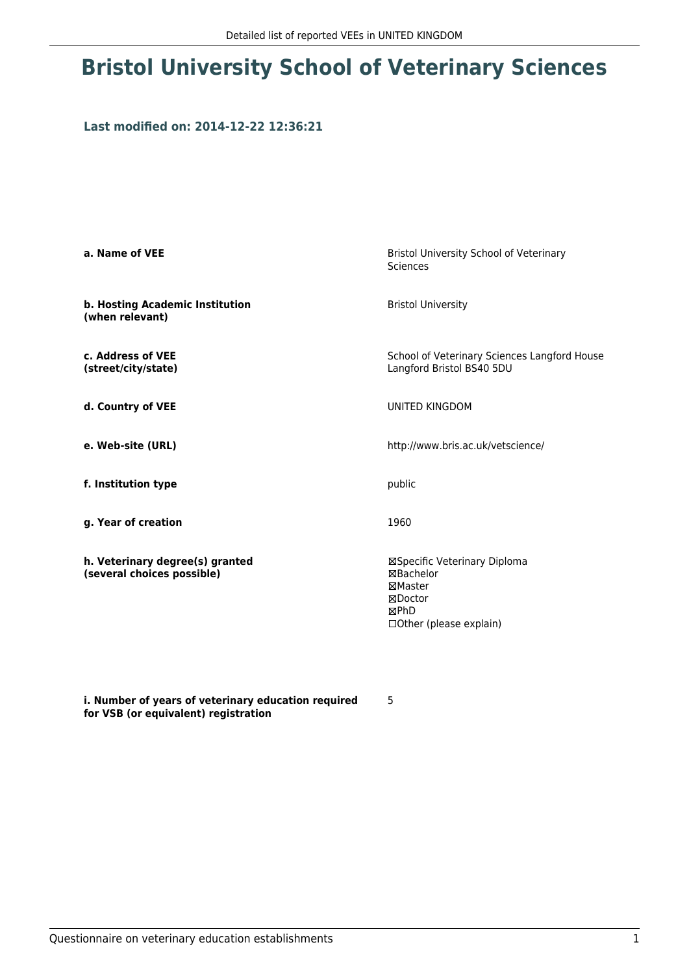## **Bristol University School of Veterinary Sciences**

### **Last modified on: 2014-12-22 12:36:21**

| a. Name of VEE                                                | Bristol University School of Veterinary<br><b>Sciences</b>                                          |
|---------------------------------------------------------------|-----------------------------------------------------------------------------------------------------|
| b. Hosting Academic Institution<br>(when relevant)            | <b>Bristol University</b>                                                                           |
| c. Address of VEE<br>(street/city/state)                      | School of Veterinary Sciences Langford House<br>Langford Bristol BS40 5DU                           |
| d. Country of VEE                                             | UNITED KINGDOM                                                                                      |
| e. Web-site (URL)                                             | http://www.bris.ac.uk/vetscience/                                                                   |
| f. Institution type                                           | public                                                                                              |
| g. Year of creation                                           | 1960                                                                                                |
| h. Veterinary degree(s) granted<br>(several choices possible) | ⊠Specific Veterinary Diploma<br>⊠Bachelor<br>⊠Master<br>⊠Doctor<br>⊠PhD<br>□ Other (please explain) |

**i. Number of years of veterinary education required for VSB (or equivalent) registration**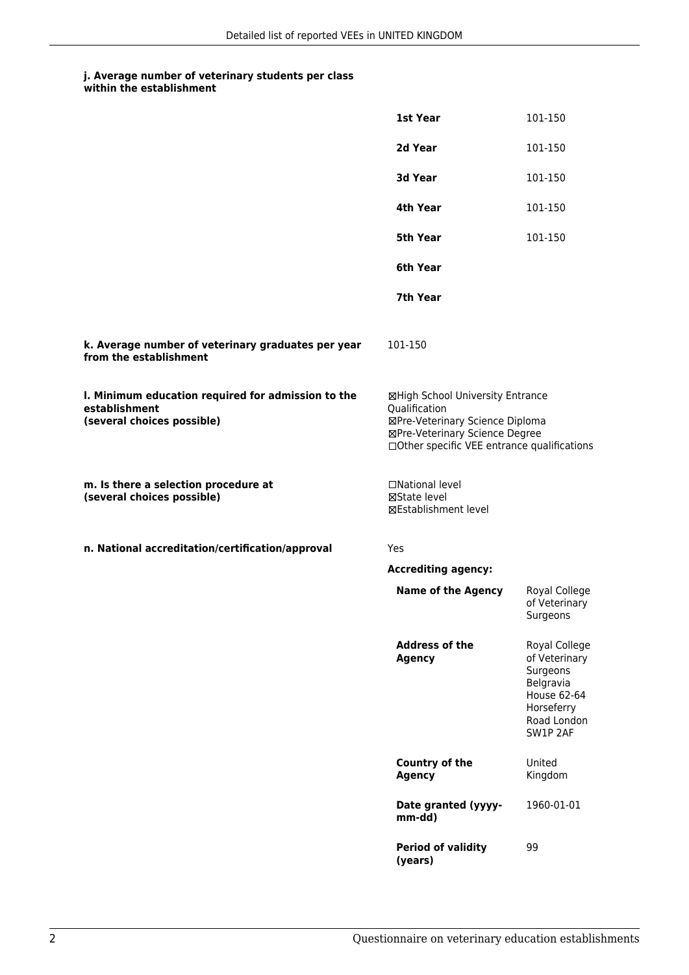|                                                                                                   | 1st Year                                                                                                                                                              | 101-150                                                                                                                |
|---------------------------------------------------------------------------------------------------|-----------------------------------------------------------------------------------------------------------------------------------------------------------------------|------------------------------------------------------------------------------------------------------------------------|
|                                                                                                   | 2d Year                                                                                                                                                               | 101-150                                                                                                                |
|                                                                                                   | 3d Year                                                                                                                                                               | 101-150                                                                                                                |
|                                                                                                   | 4th Year                                                                                                                                                              | 101-150                                                                                                                |
|                                                                                                   | 5th Year                                                                                                                                                              | 101-150                                                                                                                |
|                                                                                                   | 6th Year                                                                                                                                                              |                                                                                                                        |
|                                                                                                   | 7th Year                                                                                                                                                              |                                                                                                                        |
| k. Average number of veterinary graduates per year<br>from the establishment                      | 101-150                                                                                                                                                               |                                                                                                                        |
| I. Minimum education required for admission to the<br>establishment<br>(several choices possible) | ⊠High School University Entrance<br>Qualification<br>⊠Pre-Veterinary Science Diploma<br>⊠Pre-Veterinary Science Degree<br>□Other specific VEE entrance qualifications |                                                                                                                        |
| m. Is there a selection procedure at<br>(several choices possible)                                | □National level<br>⊠State level<br><b>⊠Establishment level</b>                                                                                                        |                                                                                                                        |
| n. National accreditation/certification/approval                                                  | Yes                                                                                                                                                                   |                                                                                                                        |
|                                                                                                   | <b>Accrediting agency:</b>                                                                                                                                            |                                                                                                                        |
|                                                                                                   | <b>Name of the Agency</b>                                                                                                                                             | Royal College<br>of Veterinary<br>Surgeons                                                                             |
|                                                                                                   | <b>Address of the</b><br><b>Agency</b>                                                                                                                                | Royal College<br>of Veterinary<br>Surgeons<br>Belgravia<br><b>House 62-64</b><br>Horseferry<br>Road London<br>SW1P 2AF |
|                                                                                                   | Country of the<br><b>Agency</b>                                                                                                                                       | United<br>Kingdom                                                                                                      |
|                                                                                                   | Date granted (yyyy-<br>mm-dd)                                                                                                                                         | 1960-01-01                                                                                                             |
|                                                                                                   | <b>Period of validity</b><br>(years)                                                                                                                                  | 99                                                                                                                     |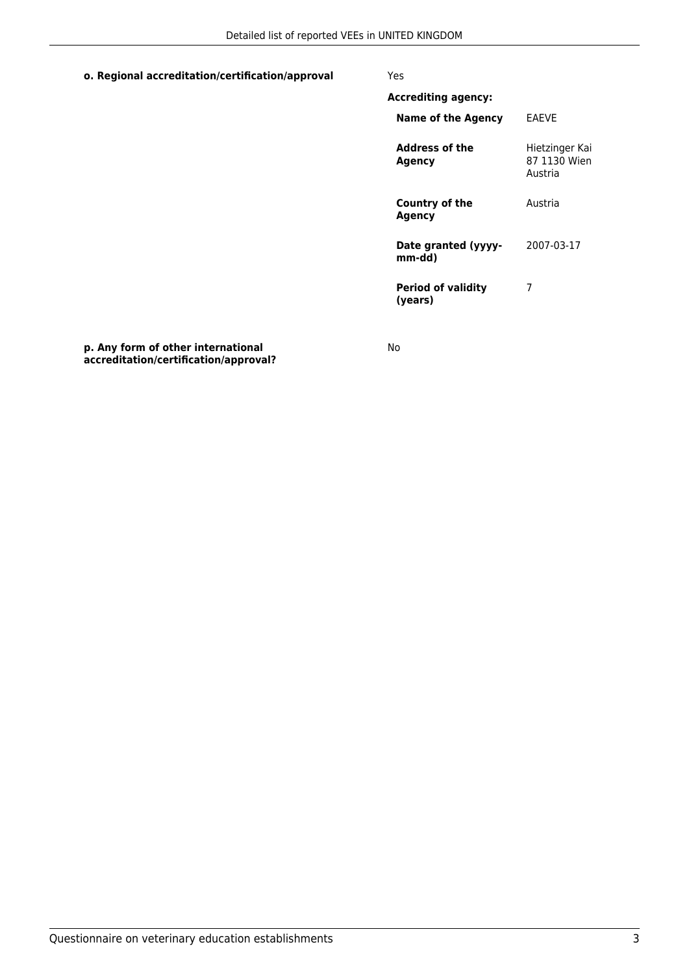**o. Regional accreditation/certification/approval** Yes

| Accrediting agency:                  |                                           |
|--------------------------------------|-------------------------------------------|
| <b>Name of the Agency</b>            | <b>FAFVF</b>                              |
| Address of the<br>Agency             | Hietzinger Kai<br>87 1130 Wien<br>Austria |
| Country of the<br>Agency             | Austria                                   |
| Date granted (yyyy-<br>mm-dd)        | 2007-03-17                                |
| <b>Period of validity</b><br>(vears) | 7                                         |

**p. Any form of other international accreditation/certification/approval?** No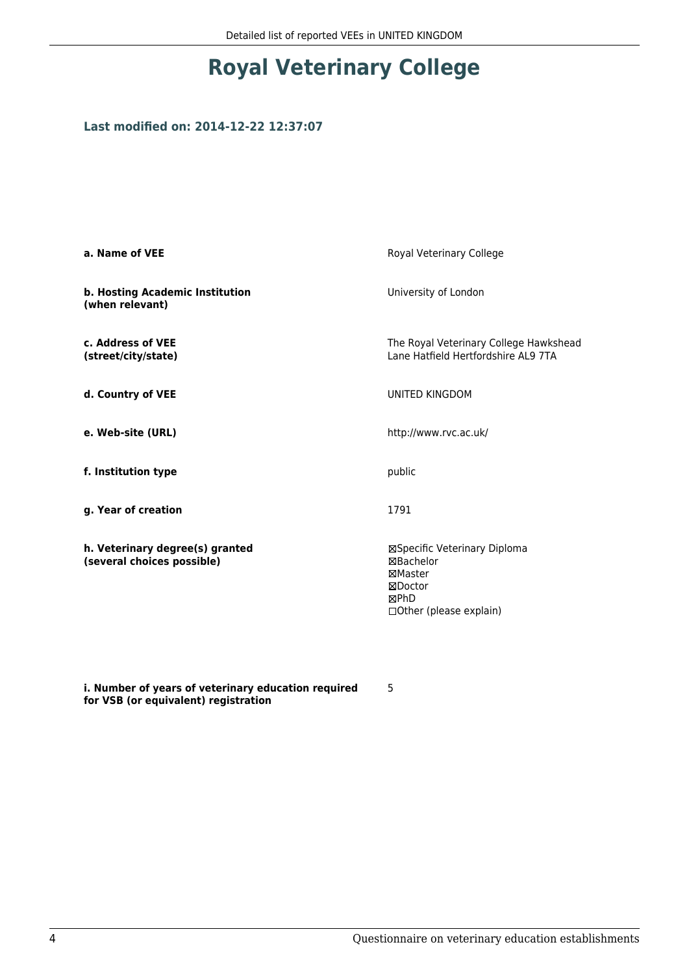## **Royal Veterinary College**

### **Last modified on: 2014-12-22 12:37:07**

| a. Name of VEE                                                | Royal Veterinary College                                                                            |
|---------------------------------------------------------------|-----------------------------------------------------------------------------------------------------|
| b. Hosting Academic Institution<br>(when relevant)            | University of London                                                                                |
| c. Address of VEE<br>(street/city/state)                      | The Royal Veterinary College Hawkshead<br>Lane Hatfield Hertfordshire AL9 7TA                       |
| d. Country of VEE                                             | UNITED KINGDOM                                                                                      |
| e. Web-site (URL)                                             | http://www.rvc.ac.uk/                                                                               |
| f. Institution type                                           | public                                                                                              |
| g. Year of creation                                           | 1791                                                                                                |
| h. Veterinary degree(s) granted<br>(several choices possible) | ⊠Specific Veterinary Diploma<br>⊠Bachelor<br>⊠Master<br>⊠Doctor<br>⊠PhD<br>□ Other (please explain) |

**i. Number of years of veterinary education required for VSB (or equivalent) registration**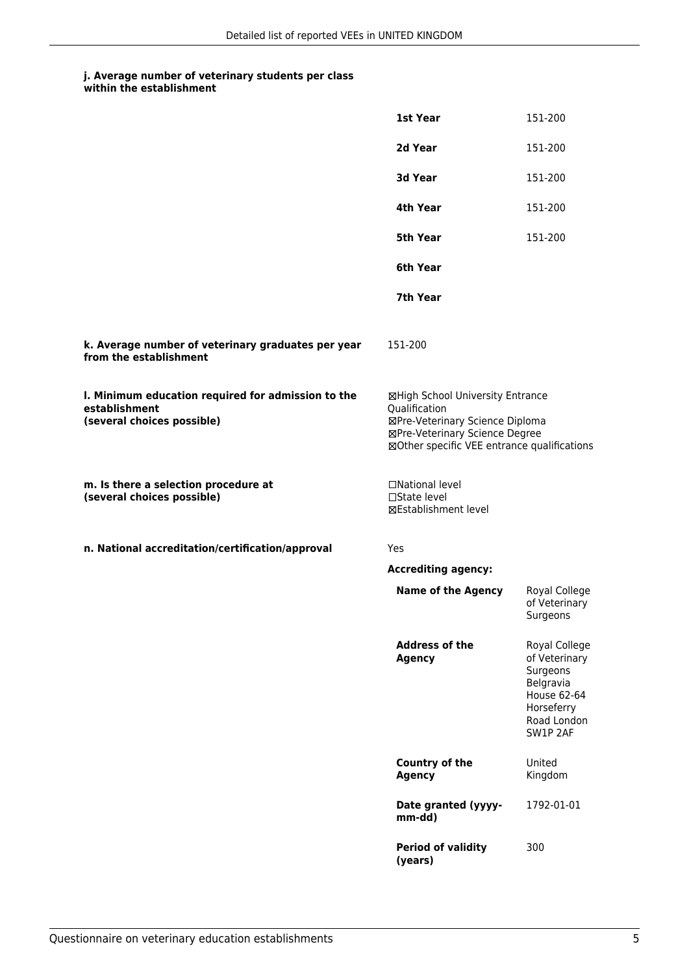|                                                                                                   | 1st Year                                                                                                                                                              | 151-200                                                                                                                |
|---------------------------------------------------------------------------------------------------|-----------------------------------------------------------------------------------------------------------------------------------------------------------------------|------------------------------------------------------------------------------------------------------------------------|
|                                                                                                   | 2d Year                                                                                                                                                               | 151-200                                                                                                                |
|                                                                                                   | 3d Year                                                                                                                                                               | 151-200                                                                                                                |
|                                                                                                   | 4th Year                                                                                                                                                              | 151-200                                                                                                                |
|                                                                                                   | 5th Year                                                                                                                                                              | 151-200                                                                                                                |
|                                                                                                   | 6th Year                                                                                                                                                              |                                                                                                                        |
|                                                                                                   | 7th Year                                                                                                                                                              |                                                                                                                        |
| k. Average number of veterinary graduates per year<br>from the establishment                      | 151-200                                                                                                                                                               |                                                                                                                        |
| I. Minimum education required for admission to the<br>establishment<br>(several choices possible) | ⊠High School University Entrance<br>Qualification<br>⊠Pre-Veterinary Science Diploma<br>⊠Pre-Veterinary Science Degree<br>⊠Other specific VEE entrance qualifications |                                                                                                                        |
| m. Is there a selection procedure at<br>(several choices possible)                                | □National level<br>$\Box$ State level<br><b>⊠Establishment level</b>                                                                                                  |                                                                                                                        |
| n. National accreditation/certification/approval                                                  | Yes                                                                                                                                                                   |                                                                                                                        |
|                                                                                                   | <b>Accrediting agency:</b>                                                                                                                                            |                                                                                                                        |
|                                                                                                   | <b>Name of the Agency</b>                                                                                                                                             | Royal College<br>of Veterinary<br>Surgeons                                                                             |
|                                                                                                   | <b>Address of the</b><br><b>Agency</b>                                                                                                                                | Royal College<br>of Veterinary<br>Surgeons<br>Belgravia<br><b>House 62-64</b><br>Horseferry<br>Road London<br>SW1P 2AF |
|                                                                                                   | Country of the<br><b>Agency</b>                                                                                                                                       | United<br>Kingdom                                                                                                      |
|                                                                                                   | Date granted (yyyy-<br>mm-dd)                                                                                                                                         | 1792-01-01                                                                                                             |
|                                                                                                   | <b>Period of validity</b><br>(years)                                                                                                                                  | 300                                                                                                                    |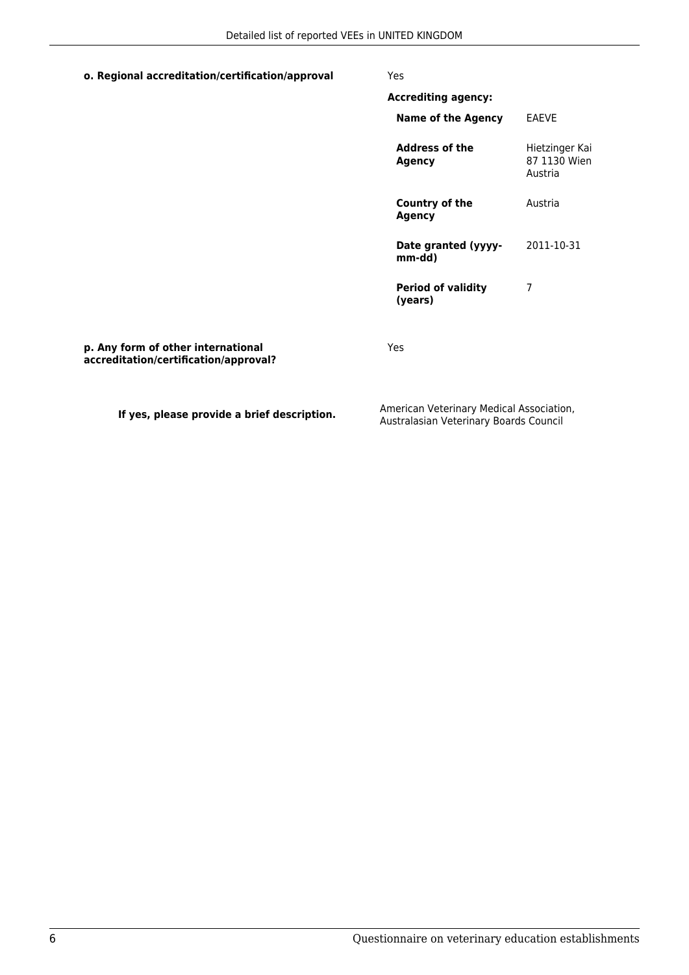|  | o. Regional accreditation/certification/approval | Yes |
|--|--------------------------------------------------|-----|
|  |                                                  |     |

| Accrediting agency:                  |                                           |
|--------------------------------------|-------------------------------------------|
| Name of the Agency                   | <b>FAFVF</b>                              |
| Address of the<br>Agency             | Hietzinger Kai<br>87 1130 Wien<br>Austria |
| Country of the<br>Agency             | Austria                                   |
| Date granted (yyyy-<br>mm-dd)        | 2011-10-31                                |
| <b>Period of validity</b><br>(years) | 7                                         |
|                                      |                                           |

**p. Any form of other international accreditation/certification/approval?** Yes

**If yes, please provide a brief description.** American Veterinary Medical Association,<br>Australasian Veterinary Boards Council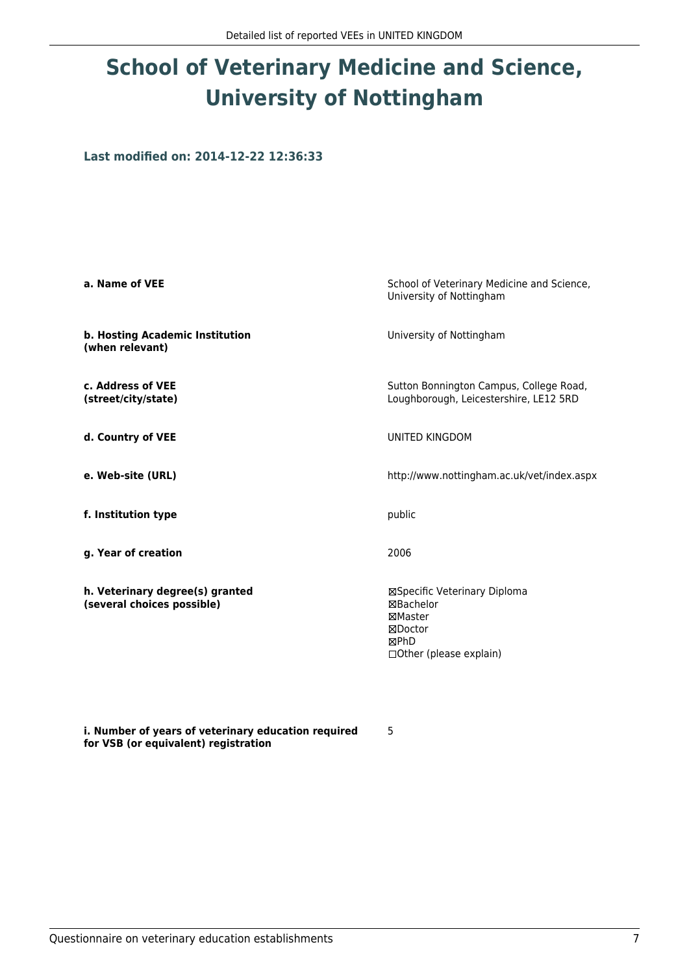# **School of Veterinary Medicine and Science, University of Nottingham**

**Last modified on: 2014-12-22 12:36:33**

| a. Name of VEE                                                | School of Veterinary Medicine and Science,<br>University of Nottingham                              |
|---------------------------------------------------------------|-----------------------------------------------------------------------------------------------------|
| b. Hosting Academic Institution<br>(when relevant)            | University of Nottingham                                                                            |
| c. Address of VEE<br>(street/city/state)                      | Sutton Bonnington Campus, College Road,<br>Loughborough, Leicestershire, LE12 5RD                   |
| d. Country of VEE                                             | UNITED KINGDOM                                                                                      |
| e. Web-site (URL)                                             | http://www.nottingham.ac.uk/vet/index.aspx                                                          |
| f. Institution type                                           | public                                                                                              |
| g. Year of creation                                           | 2006                                                                                                |
| h. Veterinary degree(s) granted<br>(several choices possible) | ⊠Specific Veterinary Diploma<br>⊠Bachelor<br>⊠Master<br>⊠Doctor<br>⊠PhD<br>□ Other (please explain) |

**i. Number of years of veterinary education required for VSB (or equivalent) registration**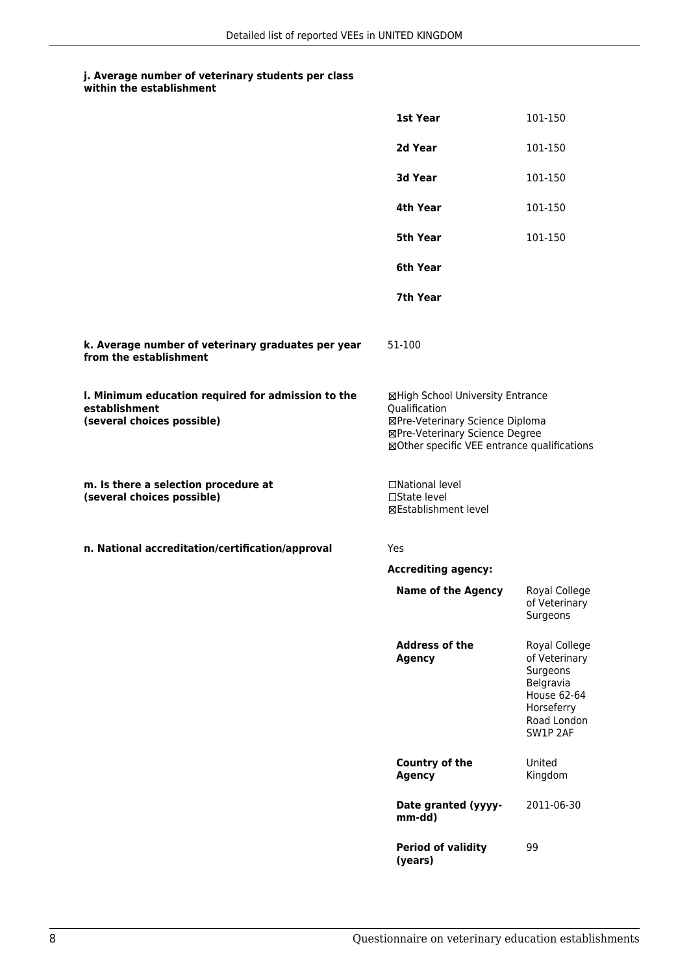|                                                                                                   | 1st Year                                                                                                                                                              | 101-150                                                                                                                |
|---------------------------------------------------------------------------------------------------|-----------------------------------------------------------------------------------------------------------------------------------------------------------------------|------------------------------------------------------------------------------------------------------------------------|
|                                                                                                   | 2d Year                                                                                                                                                               | 101-150                                                                                                                |
|                                                                                                   | 3d Year                                                                                                                                                               | 101-150                                                                                                                |
|                                                                                                   | 4th Year                                                                                                                                                              | 101-150                                                                                                                |
|                                                                                                   | 5th Year                                                                                                                                                              | 101-150                                                                                                                |
|                                                                                                   | 6th Year                                                                                                                                                              |                                                                                                                        |
|                                                                                                   | 7th Year                                                                                                                                                              |                                                                                                                        |
| k. Average number of veterinary graduates per year<br>from the establishment                      | 51-100                                                                                                                                                                |                                                                                                                        |
| I. Minimum education required for admission to the<br>establishment<br>(several choices possible) | ⊠High School University Entrance<br>Qualification<br>⊠Pre-Veterinary Science Diploma<br>⊠Pre-Veterinary Science Degree<br>⊠Other specific VEE entrance qualifications |                                                                                                                        |
| m. Is there a selection procedure at<br>(several choices possible)                                | □National level<br>□State level<br><b>⊠Establishment level</b>                                                                                                        |                                                                                                                        |
| n. National accreditation/certification/approval                                                  | Yes                                                                                                                                                                   |                                                                                                                        |
|                                                                                                   | <b>Accrediting agency:</b>                                                                                                                                            |                                                                                                                        |
|                                                                                                   | <b>Name of the Agency</b>                                                                                                                                             | Royal College<br>of Veterinary<br>Surgeons                                                                             |
|                                                                                                   | <b>Address of the</b><br><b>Agency</b>                                                                                                                                | Royal College<br>of Veterinary<br>Surgeons<br>Belgravia<br><b>House 62-64</b><br>Horseferry<br>Road London<br>SW1P 2AF |
|                                                                                                   | Country of the<br><b>Agency</b>                                                                                                                                       | United<br>Kingdom                                                                                                      |
|                                                                                                   | Date granted (yyyy-<br>mm-dd)                                                                                                                                         | 2011-06-30                                                                                                             |
|                                                                                                   | <b>Period of validity</b><br>(years)                                                                                                                                  | 99                                                                                                                     |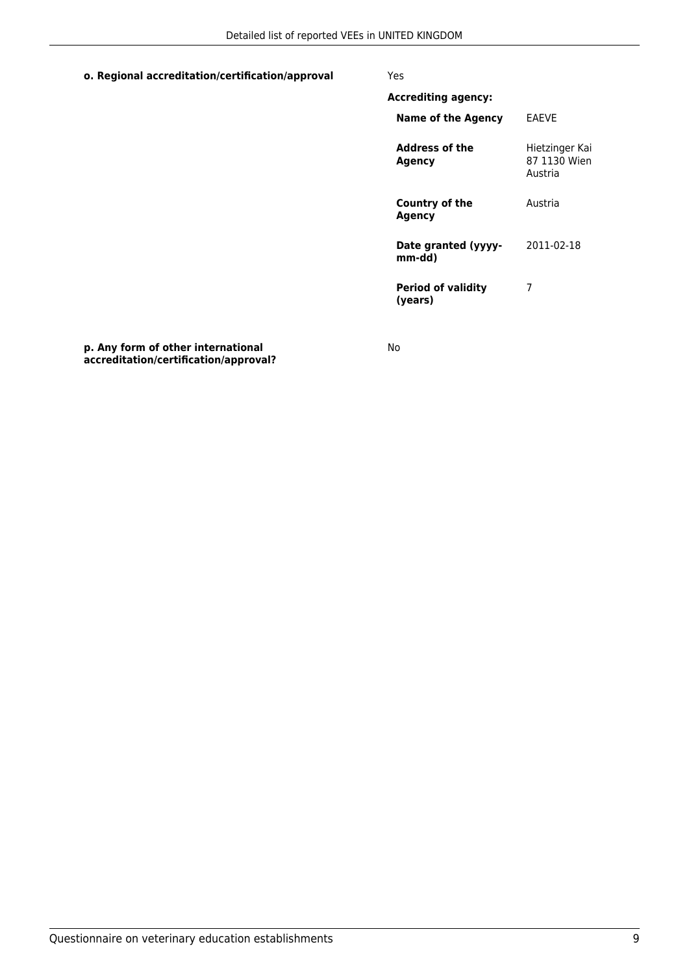**o. Regional accreditation/certification/approval** Yes

| Accrediting agency:                  |                                           |
|--------------------------------------|-------------------------------------------|
| <b>Name of the Agency</b>            | <b>FAFVF</b>                              |
| Address of the<br>Agency             | Hietzinger Kai<br>87 1130 Wien<br>Austria |
| Country of the<br>Agency             | Austria                                   |
| Date granted (yyyy-<br>mm-dd)        | 2011-02-18                                |
| <b>Period of validity</b><br>(vears) | 7                                         |

**p. Any form of other international accreditation/certification/approval?** No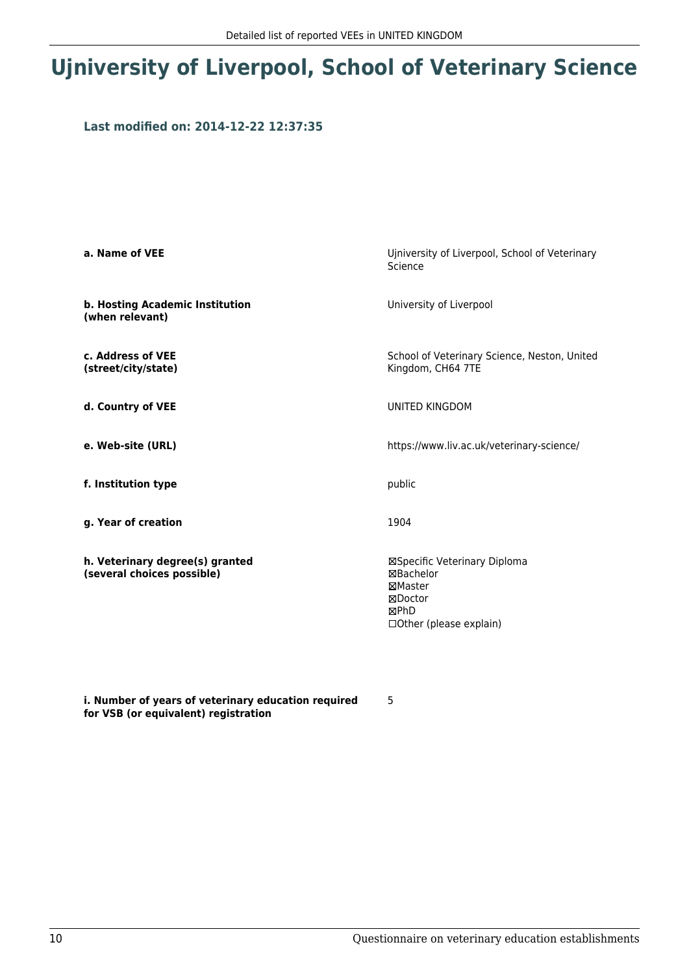## **Ujniversity of Liverpool, School of Veterinary Science**

**Last modified on: 2014-12-22 12:37:35**

| a. Name of VEE                                                | Ujniversity of Liverpool, School of Veterinary<br>Science                                           |
|---------------------------------------------------------------|-----------------------------------------------------------------------------------------------------|
| b. Hosting Academic Institution<br>(when relevant)            | University of Liverpool                                                                             |
| c. Address of VEE<br>(street/city/state)                      | School of Veterinary Science, Neston, United<br>Kingdom, CH64 7TE                                   |
| d. Country of VEE                                             | UNITED KINGDOM                                                                                      |
| e. Web-site (URL)                                             | https://www.liv.ac.uk/veterinary-science/                                                           |
| f. Institution type                                           | public                                                                                              |
| g. Year of creation                                           | 1904                                                                                                |
| h. Veterinary degree(s) granted<br>(several choices possible) | ⊠Specific Veterinary Diploma<br>⊠Bachelor<br>⊠Master<br>⊠Doctor<br>⊠PhD<br>□ Other (please explain) |

**i. Number of years of veterinary education required for VSB (or equivalent) registration**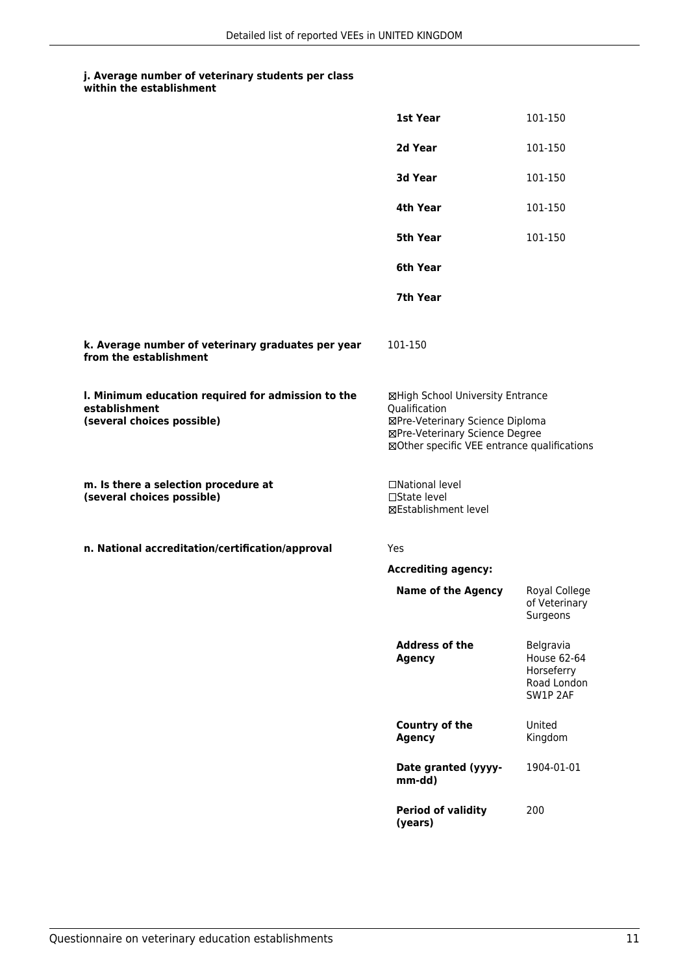|                                                                                                   | 1st Year                                                                                                                                                              | 101-150                                                           |
|---------------------------------------------------------------------------------------------------|-----------------------------------------------------------------------------------------------------------------------------------------------------------------------|-------------------------------------------------------------------|
|                                                                                                   | 2d Year                                                                                                                                                               | 101-150                                                           |
|                                                                                                   | 3d Year                                                                                                                                                               | 101-150                                                           |
|                                                                                                   | 4th Year                                                                                                                                                              | 101-150                                                           |
|                                                                                                   | 5th Year                                                                                                                                                              | 101-150                                                           |
|                                                                                                   | 6th Year                                                                                                                                                              |                                                                   |
|                                                                                                   | 7th Year                                                                                                                                                              |                                                                   |
| k. Average number of veterinary graduates per year<br>from the establishment                      | 101-150                                                                                                                                                               |                                                                   |
| I. Minimum education required for admission to the<br>establishment<br>(several choices possible) | ⊠High School University Entrance<br>Qualification<br>⊠Pre-Veterinary Science Diploma<br>⊠Pre-Veterinary Science Degree<br>⊠Other specific VEE entrance qualifications |                                                                   |
| m. Is there a selection procedure at<br>(several choices possible)                                | □National level<br>$\Box$ State level<br><b>⊠Establishment level</b>                                                                                                  |                                                                   |
| n. National accreditation/certification/approval                                                  | <b>Yes</b>                                                                                                                                                            |                                                                   |
|                                                                                                   | <b>Accrediting agency:</b>                                                                                                                                            |                                                                   |
|                                                                                                   | <b>Name of the Agency</b>                                                                                                                                             | Royal College<br>of Veterinary<br>Surgeons                        |
|                                                                                                   | <b>Address of the</b><br><b>Agency</b>                                                                                                                                | Belgravia<br>House 62-64<br>Horseferry<br>Road London<br>SW1P 2AF |
|                                                                                                   | Country of the<br><b>Agency</b>                                                                                                                                       | United<br>Kingdom                                                 |
|                                                                                                   | Date granted (yyyy-<br>mm-dd)                                                                                                                                         | 1904-01-01                                                        |
|                                                                                                   | <b>Period of validity</b><br>(years)                                                                                                                                  | 200                                                               |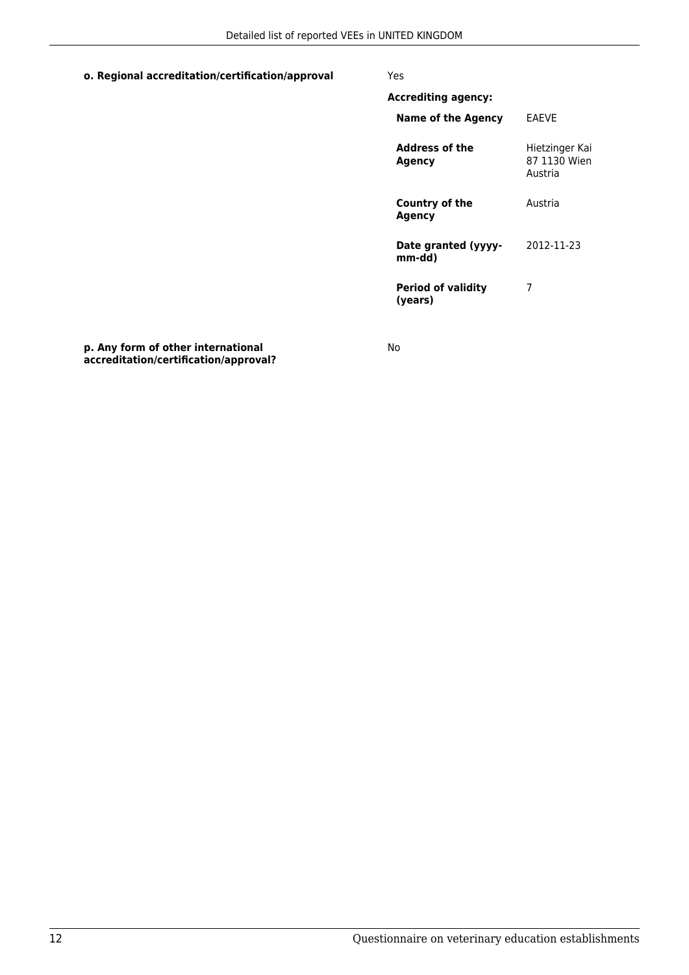**o. Regional accreditation/certification/approval** Yes

| Accrediting agency:                  |                                           |
|--------------------------------------|-------------------------------------------|
| Name of the Agency                   | FAFVF                                     |
| Address of the<br>Agency             | Hietzinger Kai<br>87 1130 Wien<br>Austria |
| Country of the<br>Agency             | Austria                                   |
| Date granted (yyyy-<br>mm-dd)        | 2012-11-23                                |
| <b>Period of validity</b><br>(vears) | 7                                         |

**p. Any form of other international accreditation/certification/approval?** No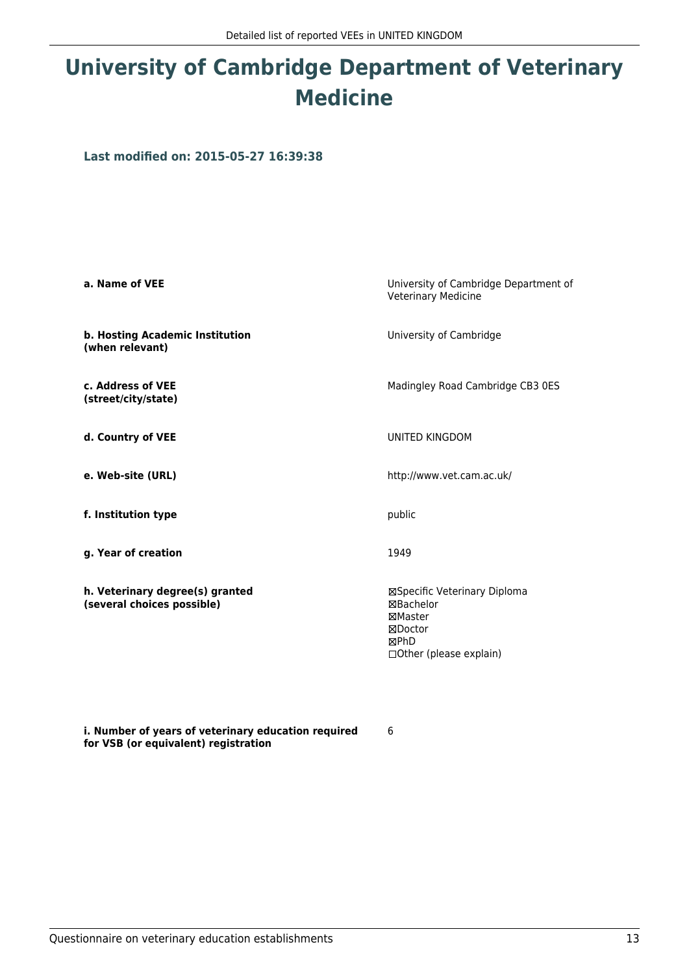## **University of Cambridge Department of Veterinary Medicine**

**Last modified on: 2015-05-27 16:39:38**

| a. Name of VEE                                                | University of Cambridge Department of<br><b>Veterinary Medicine</b>                                      |
|---------------------------------------------------------------|----------------------------------------------------------------------------------------------------------|
| b. Hosting Academic Institution<br>(when relevant)            | University of Cambridge                                                                                  |
| c. Address of VEE<br>(street/city/state)                      | Madingley Road Cambridge CB3 0ES                                                                         |
| d. Country of VEE                                             | UNITED KINGDOM                                                                                           |
| e. Web-site (URL)                                             | http://www.vet.cam.ac.uk/                                                                                |
| f. Institution type                                           | public                                                                                                   |
| g. Year of creation                                           | 1949                                                                                                     |
| h. Veterinary degree(s) granted<br>(several choices possible) | ⊠Specific Veterinary Diploma<br>⊠Bachelor<br>⊠Master<br>⊠Doctor<br>⊠PhD<br>$\Box$ Other (please explain) |

**i. Number of years of veterinary education required for VSB (or equivalent) registration**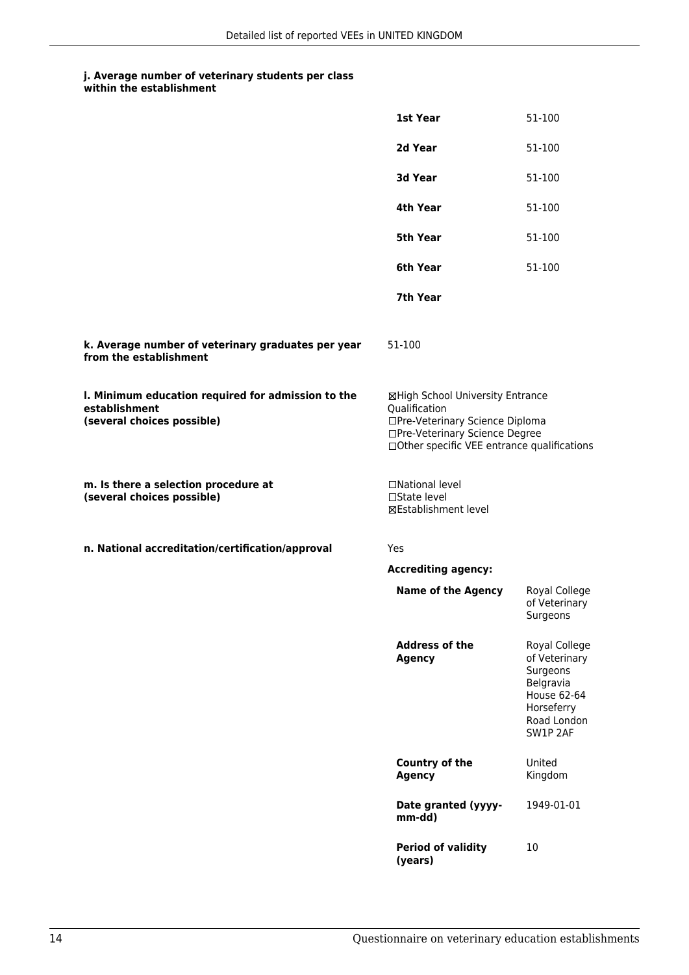|                                                                                                   | 1st Year                                                                                                                                                              | 51-100                                                                                                          |
|---------------------------------------------------------------------------------------------------|-----------------------------------------------------------------------------------------------------------------------------------------------------------------------|-----------------------------------------------------------------------------------------------------------------|
|                                                                                                   | 2d Year                                                                                                                                                               | 51-100                                                                                                          |
|                                                                                                   | 3d Year                                                                                                                                                               | 51-100                                                                                                          |
|                                                                                                   | 4th Year                                                                                                                                                              | 51-100                                                                                                          |
|                                                                                                   | 5th Year                                                                                                                                                              | 51-100                                                                                                          |
|                                                                                                   | 6th Year                                                                                                                                                              | 51-100                                                                                                          |
|                                                                                                   | 7th Year                                                                                                                                                              |                                                                                                                 |
| k. Average number of veterinary graduates per year<br>from the establishment                      | 51-100                                                                                                                                                                |                                                                                                                 |
| I. Minimum education required for admission to the<br>establishment<br>(several choices possible) | ⊠High School University Entrance<br>Qualification<br>□Pre-Veterinary Science Diploma<br>□Pre-Veterinary Science Degree<br>□Other specific VEE entrance qualifications |                                                                                                                 |
| m. Is there a selection procedure at<br>(several choices possible)                                | □National level<br>$\Box$ State level<br>⊠Establishment level                                                                                                         |                                                                                                                 |
| n. National accreditation/certification/approval                                                  | Yes                                                                                                                                                                   |                                                                                                                 |
|                                                                                                   | <b>Accrediting agency:</b>                                                                                                                                            |                                                                                                                 |
|                                                                                                   | <b>Name of the Agency</b>                                                                                                                                             | Royal College<br>of Veterinary<br>Surgeons                                                                      |
|                                                                                                   | <b>Address of the</b><br><b>Agency</b>                                                                                                                                | Royal College<br>of Veterinary<br>Surgeons<br>Belgravia<br>House 62-64<br>Horseferry<br>Road London<br>SW1P 2AF |
|                                                                                                   | Country of the<br><b>Agency</b>                                                                                                                                       | United<br>Kingdom                                                                                               |
|                                                                                                   | Date granted (yyyy-<br>mm-dd)                                                                                                                                         | 1949-01-01                                                                                                      |
|                                                                                                   | <b>Period of validity</b><br>(years)                                                                                                                                  | 10                                                                                                              |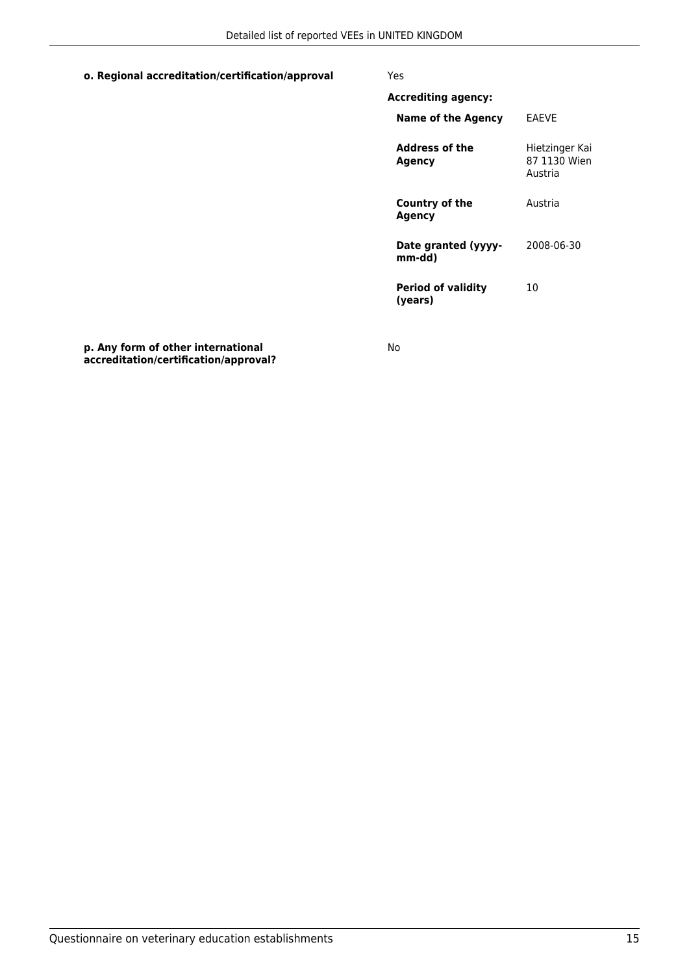**o. Regional accreditation/certification/approval** Yes

| <b>Accrediting agency:</b>           |                                           |
|--------------------------------------|-------------------------------------------|
| Name of the Agency                   | FAFVF                                     |
| Address of the<br>Agency             | Hietzinger Kai<br>87 1130 Wien<br>Austria |
| Country of the<br>Agency             | Austria                                   |
| Date granted (yyyy-<br>mm-dd)        | 2008-06-30                                |
| <b>Period of validity</b><br>(vears) | 10                                        |

**p. Any form of other international accreditation/certification/approval?** No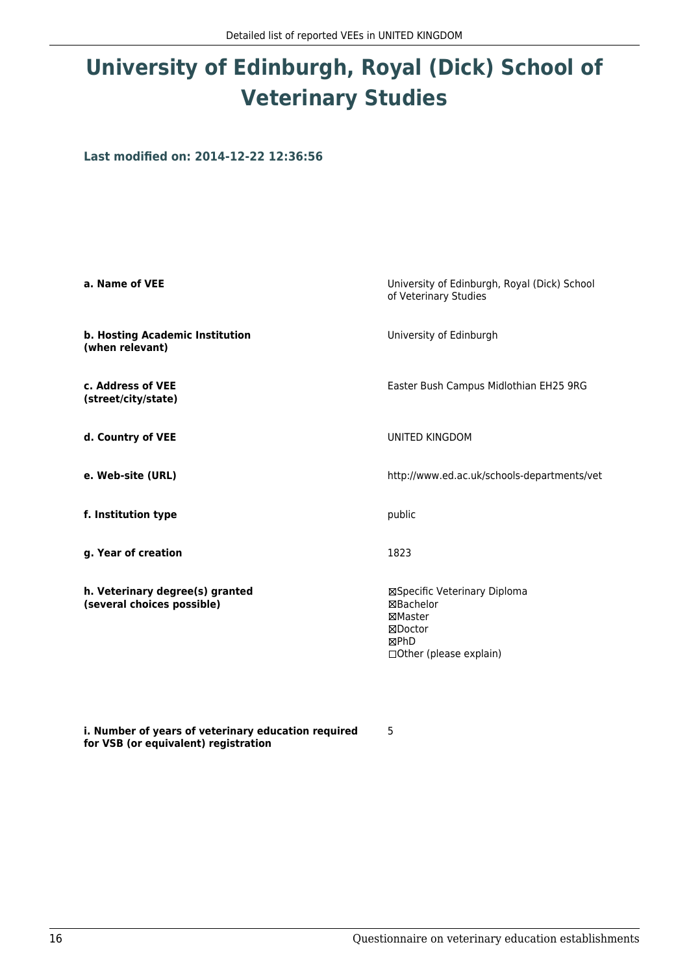# **University of Edinburgh, Royal (Dick) School of Veterinary Studies**

**Last modified on: 2014-12-22 12:36:56**

| a. Name of VEE                                                | University of Edinburgh, Royal (Dick) School<br>of Veterinary Studies                                      |
|---------------------------------------------------------------|------------------------------------------------------------------------------------------------------------|
| b. Hosting Academic Institution<br>(when relevant)            | University of Edinburgh                                                                                    |
| c. Address of VEE<br>(street/city/state)                      | Easter Bush Campus Midlothian EH25 9RG                                                                     |
| d. Country of VEE                                             | UNITED KINGDOM                                                                                             |
| e. Web-site (URL)                                             | http://www.ed.ac.uk/schools-departments/vet                                                                |
| f. Institution type                                           | public                                                                                                     |
| g. Year of creation                                           | 1823                                                                                                       |
| h. Veterinary degree(s) granted<br>(several choices possible) | ⊠Specific Veterinary Diploma<br>⊠Bachelor<br>⊠Master<br>⊠Doctor<br><b>MPhD</b><br>□ Other (please explain) |

**i. Number of years of veterinary education required for VSB (or equivalent) registration**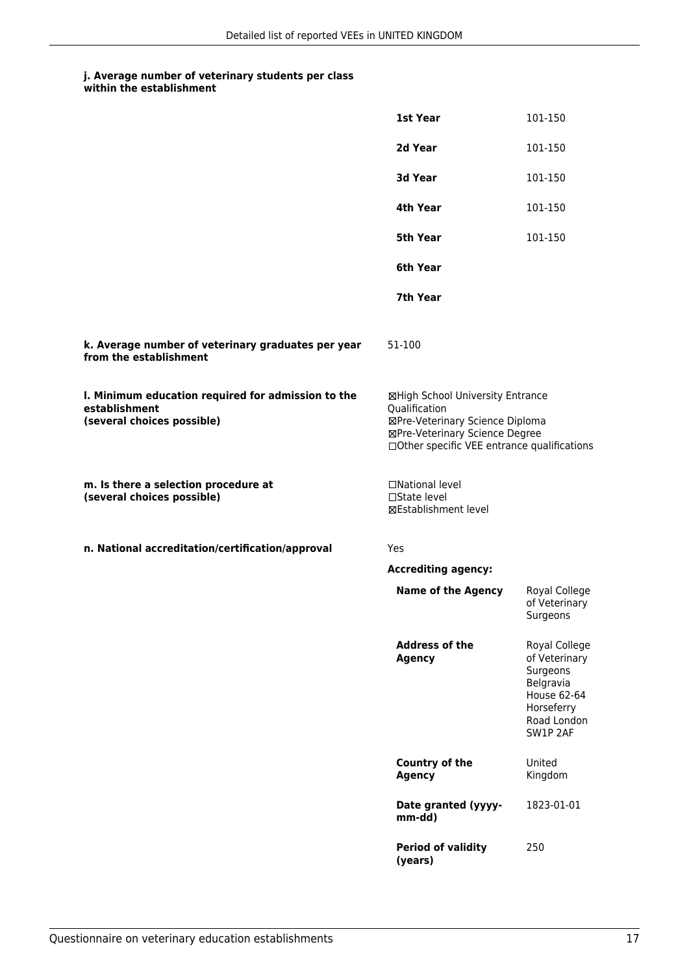|                                                                                                   | 1st Year                                                                                                                                                              | 101-150                                                                                                                |
|---------------------------------------------------------------------------------------------------|-----------------------------------------------------------------------------------------------------------------------------------------------------------------------|------------------------------------------------------------------------------------------------------------------------|
|                                                                                                   | 2d Year                                                                                                                                                               | 101-150                                                                                                                |
|                                                                                                   | 3d Year                                                                                                                                                               | 101-150                                                                                                                |
|                                                                                                   | 4th Year                                                                                                                                                              | 101-150                                                                                                                |
|                                                                                                   | 5th Year                                                                                                                                                              | 101-150                                                                                                                |
|                                                                                                   | 6th Year                                                                                                                                                              |                                                                                                                        |
|                                                                                                   | 7th Year                                                                                                                                                              |                                                                                                                        |
| k. Average number of veterinary graduates per year<br>from the establishment                      | 51-100                                                                                                                                                                |                                                                                                                        |
| I. Minimum education required for admission to the<br>establishment<br>(several choices possible) | ⊠High School University Entrance<br>Qualification<br>⊠Pre-Veterinary Science Diploma<br>⊠Pre-Veterinary Science Degree<br>□Other specific VEE entrance qualifications |                                                                                                                        |
| m. Is there a selection procedure at<br>(several choices possible)                                | □National level<br>$\Box$ State level<br>⊠Establishment level                                                                                                         |                                                                                                                        |
| n. National accreditation/certification/approval                                                  | Yes                                                                                                                                                                   |                                                                                                                        |
|                                                                                                   | <b>Accrediting agency:</b>                                                                                                                                            |                                                                                                                        |
|                                                                                                   | <b>Name of the Agency</b>                                                                                                                                             | Royal College<br>of Veterinary<br>Surgeons                                                                             |
|                                                                                                   | <b>Address of the</b><br><b>Agency</b>                                                                                                                                | Royal College<br>of Veterinary<br>Surgeons<br>Belgravia<br><b>House 62-64</b><br>Horseferry<br>Road London<br>SW1P 2AF |
|                                                                                                   | Country of the<br><b>Agency</b>                                                                                                                                       | United<br>Kingdom                                                                                                      |
|                                                                                                   | Date granted (yyyy-<br>mm-dd)                                                                                                                                         | 1823-01-01                                                                                                             |
|                                                                                                   | <b>Period of validity</b><br>(years)                                                                                                                                  | 250                                                                                                                    |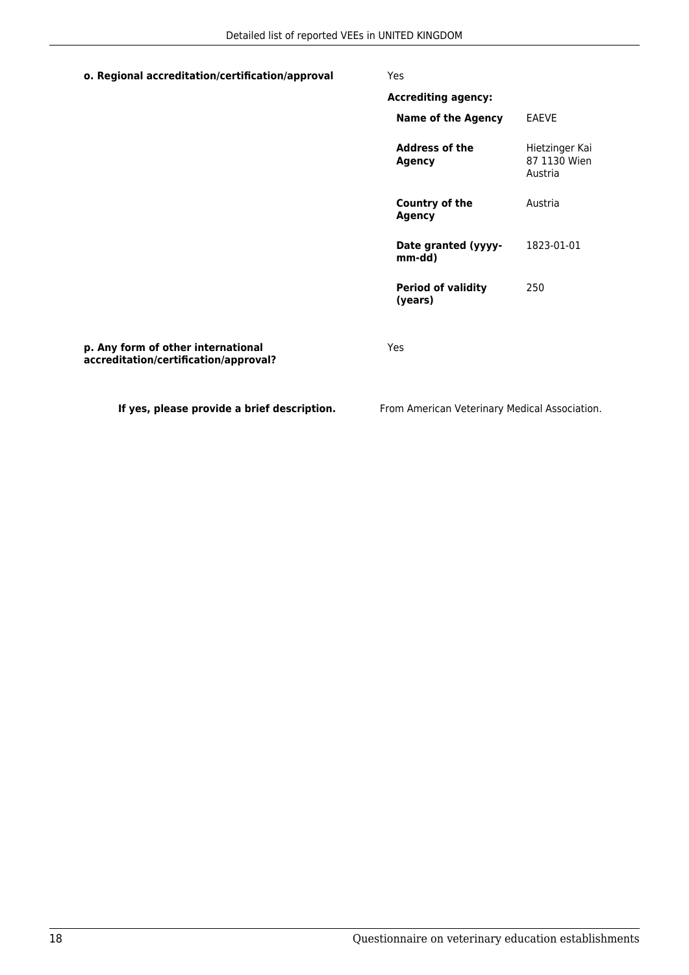|  | o. Regional accreditation/certification/approval | Yes |
|--|--------------------------------------------------|-----|
|  |                                                  |     |

**Accrediting agency: Name of the Agency** EAEVE **Address of the Agency** Hietzinger Kai 87 1130 Wien Austria **Country of the Agency** Austria **Date granted (yyyymm-dd)** 1823-01-01 **Period of validity (years)** 250

**p. Any form of other international accreditation/certification/approval?** Yes

**If yes, please provide a brief description.** From American Veterinary Medical Association.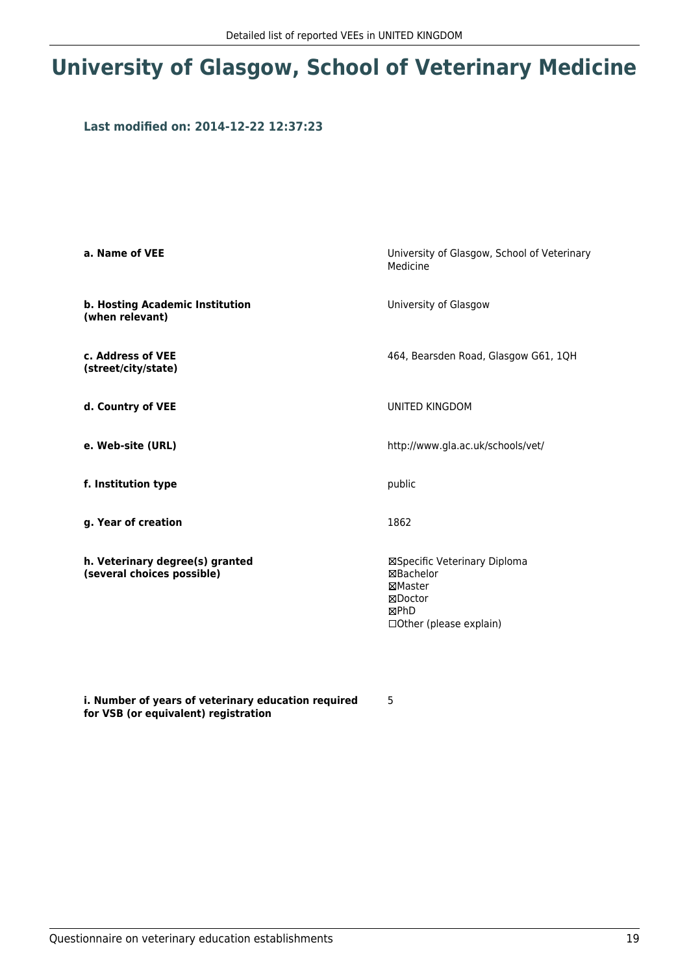## **University of Glasgow, School of Veterinary Medicine**

**Last modified on: 2014-12-22 12:37:23**

| a. Name of VEE                                                | University of Glasgow, School of Veterinary<br>Medicine                                                         |
|---------------------------------------------------------------|-----------------------------------------------------------------------------------------------------------------|
| b. Hosting Academic Institution<br>(when relevant)            | University of Glasgow                                                                                           |
| c. Address of VEE<br>(street/city/state)                      | 464, Bearsden Road, Glasgow G61, 1QH                                                                            |
| d. Country of VEE                                             | UNITED KINGDOM                                                                                                  |
| e. Web-site (URL)                                             | http://www.gla.ac.uk/schools/vet/                                                                               |
| f. Institution type                                           | public                                                                                                          |
| g. Year of creation                                           | 1862                                                                                                            |
| h. Veterinary degree(s) granted<br>(several choices possible) | ⊠Specific Veterinary Diploma<br><b>⊠Bachelor</b><br>⊠Master<br>⊠Doctor<br>⊠PhD<br>$\Box$ Other (please explain) |

**i. Number of years of veterinary education required for VSB (or equivalent) registration**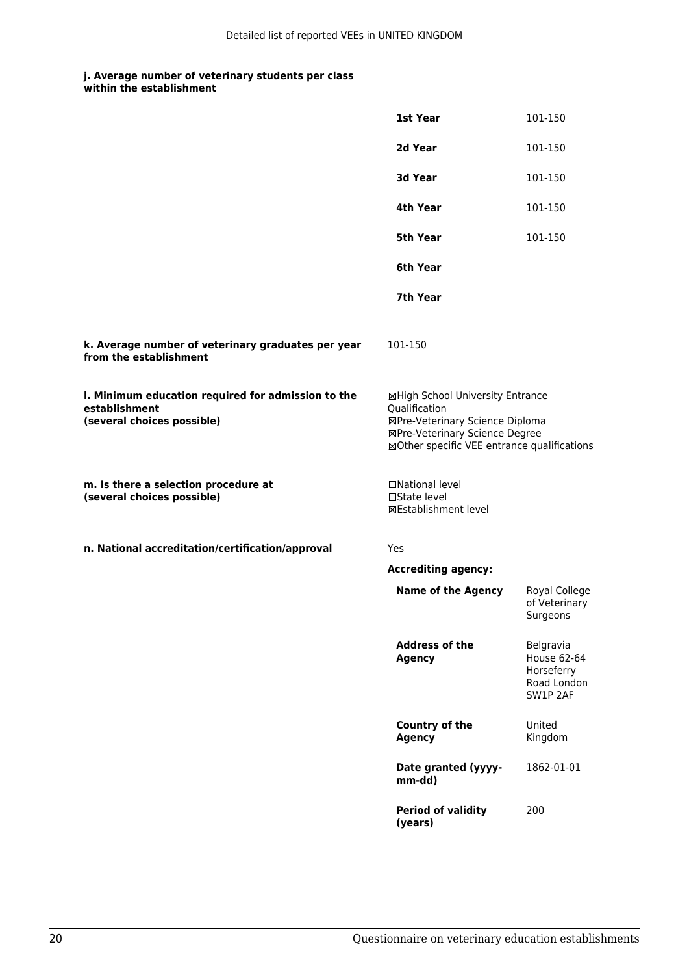|                                                                                                   | 1st Year                                                                                                                                                              | 101-150                                                           |
|---------------------------------------------------------------------------------------------------|-----------------------------------------------------------------------------------------------------------------------------------------------------------------------|-------------------------------------------------------------------|
|                                                                                                   | 2d Year                                                                                                                                                               | 101-150                                                           |
|                                                                                                   | 3d Year                                                                                                                                                               | 101-150                                                           |
|                                                                                                   | 4th Year                                                                                                                                                              | 101-150                                                           |
|                                                                                                   | 5th Year                                                                                                                                                              | 101-150                                                           |
|                                                                                                   | 6th Year                                                                                                                                                              |                                                                   |
|                                                                                                   | 7th Year                                                                                                                                                              |                                                                   |
| k. Average number of veterinary graduates per year<br>from the establishment                      | 101-150                                                                                                                                                               |                                                                   |
| I. Minimum education required for admission to the<br>establishment<br>(several choices possible) | ⊠High School University Entrance<br>Qualification<br>⊠Pre-Veterinary Science Diploma<br>⊠Pre-Veterinary Science Degree<br>⊠Other specific VEE entrance qualifications |                                                                   |
| m. Is there a selection procedure at<br>(several choices possible)                                | □National level<br>□State level<br><b>⊠Establishment level</b>                                                                                                        |                                                                   |
| n. National accreditation/certification/approval                                                  | Yes                                                                                                                                                                   |                                                                   |
|                                                                                                   | <b>Accrediting agency:</b>                                                                                                                                            |                                                                   |
|                                                                                                   | <b>Name of the Agency</b>                                                                                                                                             | Royal College<br>of Veterinary<br>Surgeons                        |
|                                                                                                   | <b>Address of the</b><br><b>Agency</b>                                                                                                                                | Belgravia<br>House 62-64<br>Horseferry<br>Road London<br>SW1P 2AF |
|                                                                                                   | Country of the<br><b>Agency</b>                                                                                                                                       | United<br>Kingdom                                                 |
|                                                                                                   | Date granted (yyyy-<br>mm-dd)                                                                                                                                         | 1862-01-01                                                        |
|                                                                                                   | <b>Period of validity</b><br>(years)                                                                                                                                  | 200                                                               |